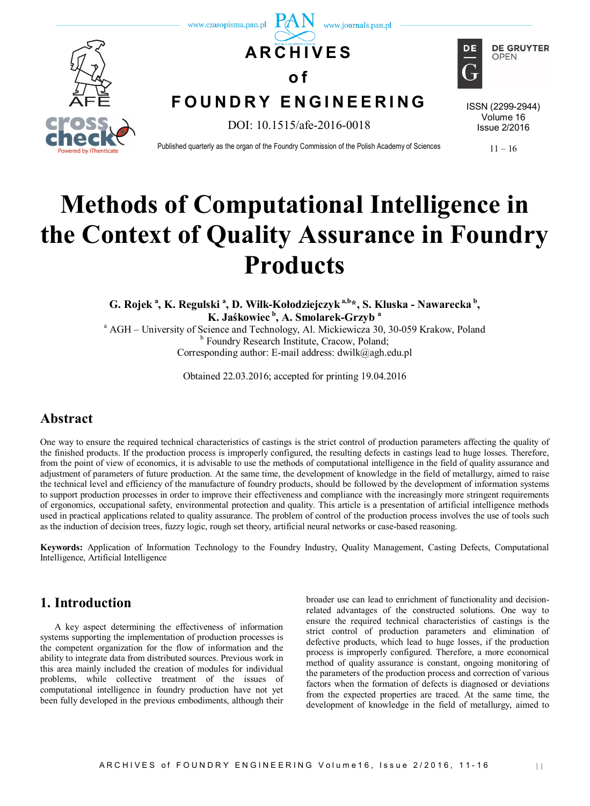

# **Methods of Computational Intelligence in the Context of Quality Assurance in Foundry Products**

**G. Rojek <sup>a</sup> , K. Regulski <sup>a</sup> , D. Wilk-Kołodziejczyka,b\*, S. Kluska - Nawarecka b, K. Jaśkowiec b, A. Smolarek-Grzyb <sup>a</sup>**

<sup>a</sup> AGH – University of Science and Technology, Al. Mickiewicza 30, 30-059 Krakow, Poland <sup>b</sup> Foundry Research Institute, Cracow, Poland; Corresponding author: E-mail address: dwilk@agh.edu.pl

Obtained 22.03.2016; accepted for printing 19.04.2016

# **Abstract**

One way to ensure the required technical characteristics of castings is the strict control of production parameters affecting the quality of the finished products. If the production process is improperly configured, the resulting defects in castings lead to huge losses. Therefore, from the point of view of economics, it is advisable to use the methods of computational intelligence in the field of quality assurance and adjustment of parameters of future production. At the same time, the development of knowledge in the field of metallurgy, aimed to raise the technical level and efficiency of the manufacture of foundry products, should be followed by the development of information systems to support production processes in order to improve their effectiveness and compliance with the increasingly more stringent requirements of ergonomics, occupational safety, environmental protection and quality. This article is a presentation of artificial intelligence methods used in practical applications related to quality assurance. The problem of control of the production process involves the use of tools such as the induction of decision trees, fuzzy logic, rough set theory, artificial neural networks or case-based reasoning.

**Keywords:** Application of Information Technology to the Foundry Industry, Quality Management, Casting Defects, Computational Intelligence, Artificial Intelligence

# **1. Introduction**

A key aspect determining the effectiveness of information systems supporting the implementation of production processes is the competent organization for the flow of information and the ability to integrate data from distributed sources. Previous work in this area mainly included the creation of modules for individual problems, while collective treatment of the issues of computational intelligence in foundry production have not yet been fully developed in the previous embodiments, although their broader use can lead to enrichment of functionality and decisionrelated advantages of the constructed solutions. One way to ensure the required technical characteristics of castings is the strict control of production parameters and elimination of defective products, which lead to huge losses, if the production process is improperly configured. Therefore, a more economical method of quality assurance is constant, ongoing monitoring of the parameters of the production process and correction of various factors when the formation of defects is diagnosed or deviations from the expected properties are traced. At the same time, the development of knowledge in the field of metallurgy, aimed to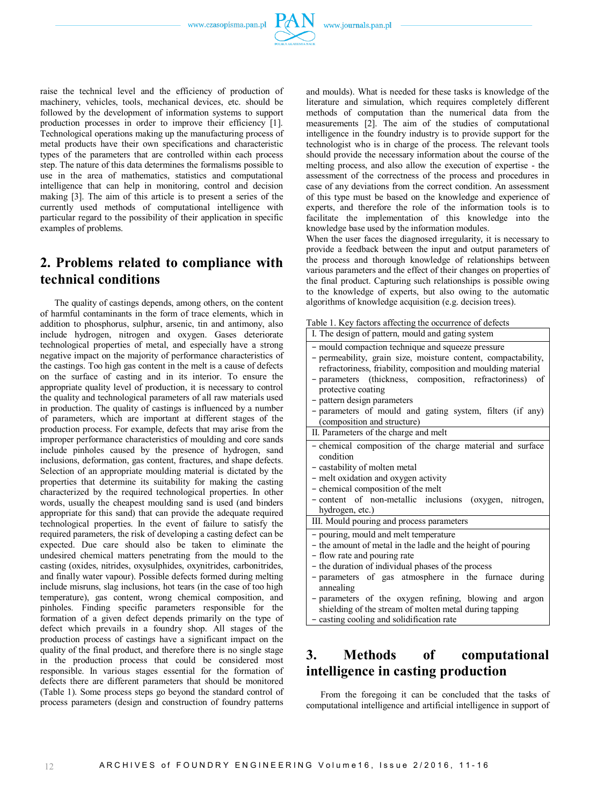

raise the technical level and the efficiency of production of machinery, vehicles, tools, mechanical devices, etc. should be followed by the development of information systems to support production processes in order to improve their efficiency [1]. Technological operations making up the manufacturing process of metal products have their own specifications and characteristic types of the parameters that are controlled within each process step. The nature of this data determines the formalisms possible to use in the area of mathematics, statistics and computational intelligence that can help in monitoring, control and decision making [3]. The aim of this article is to present a series of the currently used methods of computational intelligence with particular regard to the possibility of their application in specific examples of problems.

# **2. Problems related to compliance with technical conditions**

The quality of castings depends, among others, on the content of harmful contaminants in the form of trace elements, which in addition to phosphorus, sulphur, arsenic, tin and antimony, also include hydrogen, nitrogen and oxygen. Gases deteriorate technological properties of metal, and especially have a strong negative impact on the majority of performance characteristics of the castings. Too high gas content in the melt is a cause of defects on the surface of casting and in its interior. To ensure the appropriate quality level of production, it is necessary to control the quality and technological parameters of all raw materials used in production. The quality of castings is influenced by a number of parameters, which are important at different stages of the production process. For example, defects that may arise from the improper performance characteristics of moulding and core sands include pinholes caused by the presence of hydrogen, sand inclusions, deformation, gas content, fractures, and shape defects. Selection of an appropriate moulding material is dictated by the properties that determine its suitability for making the casting characterized by the required technological properties. In other words, usually the cheapest moulding sand is used (and binders appropriate for this sand) that can provide the adequate required technological properties. In the event of failure to satisfy the required parameters, the risk of developing a casting defect can be expected. Due care should also be taken to eliminate the undesired chemical matters penetrating from the mould to the casting (oxides, nitrides, oxysulphides, oxynitrides, carbonitrides, and finally water vapour). Possible defects formed during melting include misruns, slag inclusions, hot tears (in the case of too high temperature), gas content, wrong chemical composition, and pinholes. Finding specific parameters responsible for the formation of a given defect depends primarily on the type of defect which prevails in a foundry shop. All stages of the production process of castings have a significant impact on the quality of the final product, and therefore there is no single stage in the production process that could be considered most responsible. In various stages essential for the formation of defects there are different parameters that should be monitored (Table 1). Some process steps go beyond the standard control of process parameters (design and construction of foundry patterns

and moulds). What is needed for these tasks is knowledge of the literature and simulation, which requires completely different methods of computation than the numerical data from the measurements [2]. The aim of the studies of computational intelligence in the foundry industry is to provide support for the technologist who is in charge of the process. The relevant tools should provide the necessary information about the course of the melting process, and also allow the execution of expertise - the assessment of the correctness of the process and procedures in case of any deviations from the correct condition. An assessment of this type must be based on the knowledge and experience of experts, and therefore the role of the information tools is to facilitate the implementation of this knowledge into the knowledge base used by the information modules.

When the user faces the diagnosed irregularity, it is necessary to provide a feedback between the input and output parameters of the process and thorough knowledge of relationships between various parameters and the effect of their changes on properties of the final product. Capturing such relationships is possible owing to the knowledge of experts, but also owing to the automatic algorithms of knowledge acquisition (e.g. decision trees).

 $T_{\text{c}}$  1.1. 1.  $V_{\text{c}}$  of  $f_{\text{c}}$  the of  $f_{\text{c}}$  of the occurrence of defects

| rable 1. Ney factors affecting the occurrence of defects<br>I. The design of pattern, mould and gating system                                                                                                                                                                                                                                                                                                                     |
|-----------------------------------------------------------------------------------------------------------------------------------------------------------------------------------------------------------------------------------------------------------------------------------------------------------------------------------------------------------------------------------------------------------------------------------|
| - mould compaction technique and squeeze pressure<br>- permeability, grain size, moisture content, compactability,<br>refractoriness, friability, composition and moulding material<br>- parameters (thickness, composition, refractoriness)<br>of<br>protective coating<br>- pattern design parameters<br>- parameters of mould and gating system, filters (if any)<br>(composition and structure)                               |
| II. Parameters of the charge and melt                                                                                                                                                                                                                                                                                                                                                                                             |
| - chemical composition of the charge material and surface<br>condition<br>- castability of molten metal<br>- melt oxidation and oxygen activity<br>- chemical composition of the melt<br>- content of non-metallic inclusions (oxygen, nitrogen,<br>hydrogen, etc.)                                                                                                                                                               |
| III. Mould pouring and process parameters                                                                                                                                                                                                                                                                                                                                                                                         |
| - pouring, mould and melt temperature<br>- the amount of metal in the ladle and the height of pouring<br>- flow rate and pouring rate<br>- the duration of individual phases of the process<br>- parameters of gas atmosphere in the furnace during<br>annealing<br>- parameters of the oxygen refining, blowing and argon<br>shielding of the stream of molten metal during tapping<br>- casting cooling and solidification rate |

# **3. Methods of computational intelligence in casting production**

From the foregoing it can be concluded that the tasks of computational intelligence and artificial intelligence in support of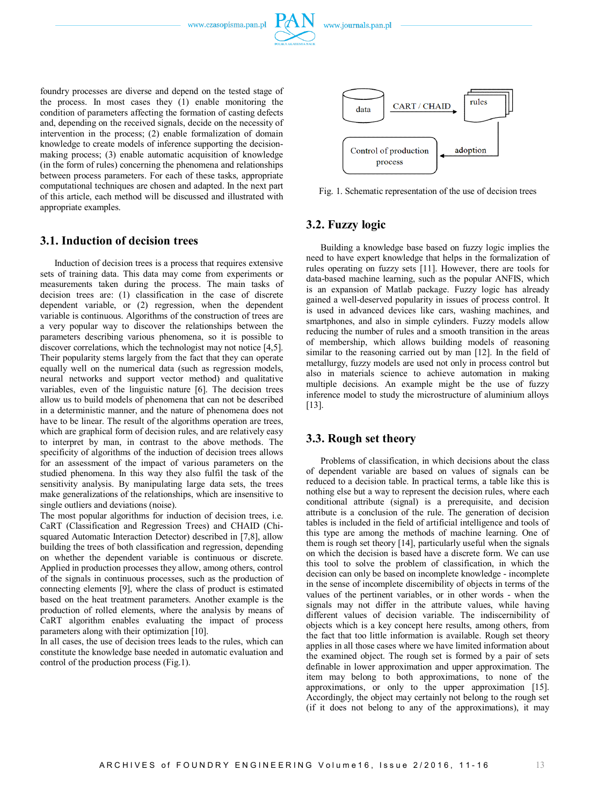

foundry processes are diverse and depend on the tested stage of the process. In most cases they  $(1)$  enable monitoring the condition of parameters affecting the formation of casting defects and, depending on the received signals, decide on the necessity of intervention in the process; (2) enable formalization of domain knowledge to create models of inference supporting the decisionmaking process; (3) enable automatic acquisition of knowledge (in the form of rules) concerning the phenomena and relationships between process parameters. For each of these tasks, appropriate computational techniques are chosen and adapted. In the next part of this article, each method will be discussed and illustrated with appropriate examples.

#### **3.1. Induction of decision trees**

Induction of decision trees is a process that requires extensive sets of training data. This data may come from experiments or measurements taken during the process. The main tasks of decision trees are: (1) classification in the case of discrete dependent variable, or (2) regression, when the dependent variable is continuous. Algorithms of the construction of trees are a very popular way to discover the relationships between the parameters describing various phenomena, so it is possible to discover correlations, which the technologist may not notice [4,5]. Their popularity stems largely from the fact that they can operate equally well on the numerical data (such as regression models, neural networks and support vector method) and qualitative variables, even of the linguistic nature [6]. The decision trees allow us to build models of phenomena that can not be described in a deterministic manner, and the nature of phenomena does not have to be linear. The result of the algorithms operation are trees, which are graphical form of decision rules, and are relatively easy to interpret by man, in contrast to the above methods. The specificity of algorithms of the induction of decision trees allows for an assessment of the impact of various parameters on the studied phenomena. In this way they also fulfil the task of the sensitivity analysis. By manipulating large data sets, the trees make generalizations of the relationships, which are insensitive to single outliers and deviations (noise).

The most popular algorithms for induction of decision trees, i.e. CaRT (Classification and Regression Trees) and CHAID (Chisquared Automatic Interaction Detector) described in [7,8], allow building the trees of both classification and regression, depending on whether the dependent variable is continuous or discrete. Applied in production processes they allow, among others, control of the signals in continuous processes, such as the production of connecting elements [9], where the class of product is estimated based on the heat treatment parameters. Another example is the production of rolled elements, where the analysis by means of CaRT algorithm enables evaluating the impact of process parameters along with their optimization [10].

In all cases, the use of decision trees leads to the rules, which can constitute the knowledge base needed in automatic evaluation and control of the production process (Fig.1).



Fig. 1. Schematic representation of the use of decision trees

#### **3.2. Fuzzy logic**

Building a knowledge base based on fuzzy logic implies the need to have expert knowledge that helps in the formalization of rules operating on fuzzy sets [11]. However, there are tools for data-based machine learning, such as the popular ANFIS, which is an expansion of Matlab package. Fuzzy logic has already gained a well-deserved popularity in issues of process control. It is used in advanced devices like cars, washing machines, and smartphones, and also in simple cylinders. Fuzzy models allow reducing the number of rules and a smooth transition in the areas of membership, which allows building models of reasoning similar to the reasoning carried out by man [12]. In the field of metallurgy, fuzzy models are used not only in process control but also in materials science to achieve automation in making multiple decisions. An example might be the use of fuzzy inference model to study the microstructure of aluminium alloys [13].

#### **3.3. Rough set theory**

Problems of classification, in which decisions about the class of dependent variable are based on values of signals can be reduced to a decision table. In practical terms, a table like this is nothing else but a way to represent the decision rules, where each conditional attribute (signal) is a prerequisite, and decision attribute is a conclusion of the rule. The generation of decision tables is included in the field of artificial intelligence and tools of this type are among the methods of machine learning. One of them is rough set theory [14], particularly useful when the signals on which the decision is based have a discrete form. We can use this tool to solve the problem of classification, in which the decision can only be based on incomplete knowledge - incomplete in the sense of incomplete discernibility of objects in terms of the values of the pertinent variables, or in other words - when the signals may not differ in the attribute values, while having different values of decision variable. The indiscernibility of objects which is a key concept here results, among others, from the fact that too little information is available. Rough set theory applies in all those cases where we have limited information about the examined object. The rough set is formed by a pair of sets definable in lower approximation and upper approximation. The item may belong to both approximations, to none of the approximations, or only to the upper approximation [15]. Accordingly, the object may certainly not belong to the rough set (if it does not belong to any of the approximations), it may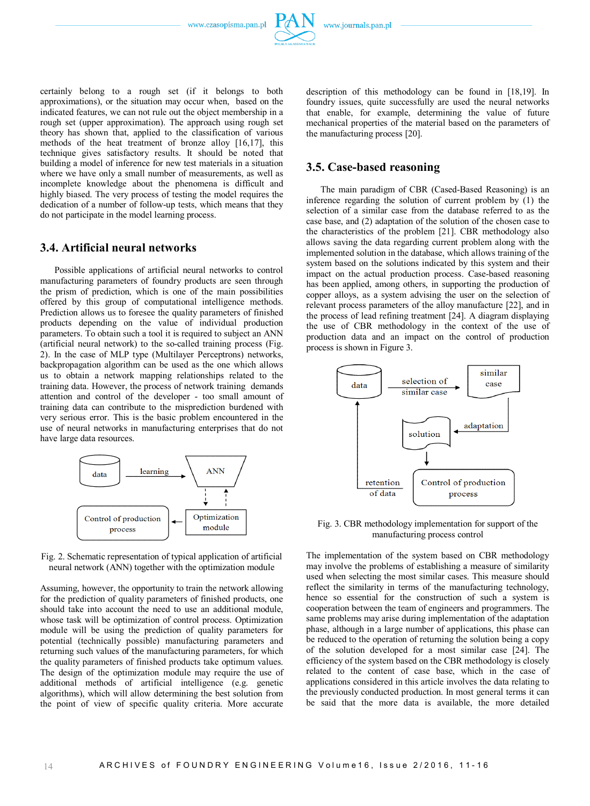

### **3.4. Artificial neural networks**

Possible applications of artificial neural networks to control manufacturing parameters of foundry products are seen through the prism of prediction, which is one of the main possibilities offered by this group of computational intelligence methods. Prediction allows us to foresee the quality parameters of finished products depending on the value of individual production parameters. To obtain such a tool it is required to subject an ANN (artificial neural network) to the so-called training process (Fig. 2). In the case of MLP type (Multilayer Perceptrons) networks, backpropagation algorithm can be used as the one which allows us to obtain a network mapping relationships related to the training data. However, the process of network training demands attention and control of the developer - too small amount of training data can contribute to the misprediction burdened with very serious error. This is the basic problem encountered in the use of neural networks in manufacturing enterprises that do not have large data resources.



Fig. 2. Schematic representation of typical application of artificial neural network (ANN) together with the optimization module

Assuming, however, the opportunity to train the network allowing for the prediction of quality parameters of finished products, one should take into account the need to use an additional module, whose task will be optimization of control process. Optimization module will be using the prediction of quality parameters for potential (technically possible) manufacturing parameters and returning such values of the manufacturing parameters, for which the quality parameters of finished products take optimum values. The design of the optimization module may require the use of additional methods of artificial intelligence (e.g. genetic algorithms), which will allow determining the best solution from the point of view of specific quality criteria. More accurate

description of this methodology can be found in [18,19]. In foundry issues, quite successfully are used the neural networks that enable, for example, determining the value of future mechanical properties of the material based on the parameters of the manufacturing process [20].

#### **3.5. Case-based reasoning**

The main paradigm of CBR (Cased-Based Reasoning) is an inference regarding the solution of current problem by (1) the selection of a similar case from the database referred to as the case base, and (2) adaptation of the solution of the chosen case to the characteristics of the problem [21]. CBR methodology also allows saving the data regarding current problem along with the implemented solution in the database, which allows training of the system based on the solutions indicated by this system and their impact on the actual production process. Case-based reasoning has been applied, among others, in supporting the production of copper alloys, as a system advising the user on the selection of relevant process parameters of the alloy manufacture [22], and in the process of lead refining treatment [24]. A diagram displaying the use of CBR methodology in the context of the use of production data and an impact on the control of production process is shown in Figure 3.



Fig. 3. CBR methodology implementation for support of the manufacturing process control

The implementation of the system based on CBR methodology may involve the problems of establishing a measure of similarity used when selecting the most similar cases. This measure should reflect the similarity in terms of the manufacturing technology, hence so essential for the construction of such a system is cooperation between the team of engineers and programmers. The same problems may arise during implementation of the adaptation phase, although in a large number of applications, this phase can be reduced to the operation of returning the solution being a copy of the solution developed for a most similar case [24]. The efficiency of the system based on the CBR methodology is closely related to the content of case base, which in the case of applications considered in this article involves the data relating to the previously conducted production. In most general terms it can be said that the more data is available, the more detailed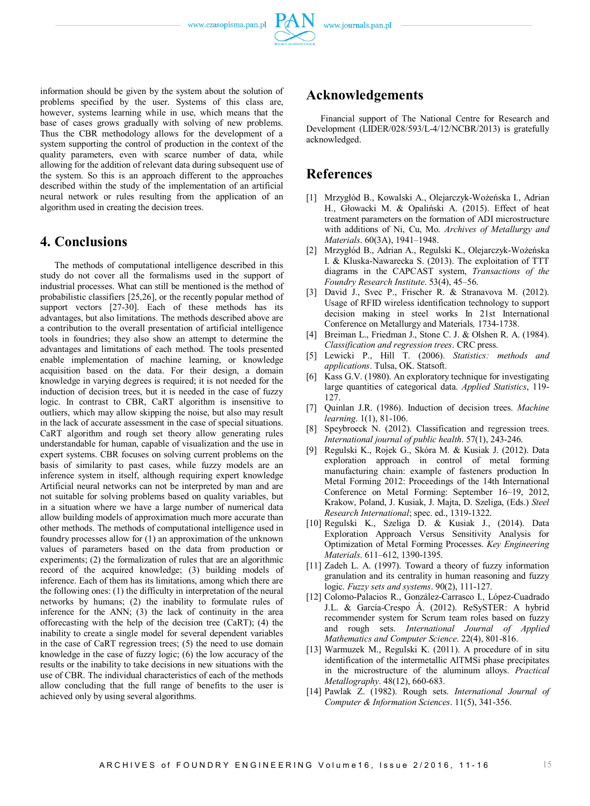

information should be given by the system about the solution of problems specified by the user. Systems of this class are, however, systems learning while in use, which means that the base of cases grows gradually with solving of new problems. Thus the CBR methodology allows for the development of a system supporting the control of production in the context of the quality parameters, even with scarce number of data, while allowing for the addition of relevant data during subsequent use of the system. So this is an approach different to the approaches described within the study of the implementation of an artificial neural network or rules resulting from the application of an algorithm used in creating the decision trees.

## **4. Conclusions**

The methods of computational intelligence described in this study do not cover all the formalisms used in the support of industrial processes. What can still be mentioned is the method of probabilistic classifiers [25,26], or the recently popular method of support vectors [27-30]. Each of these methods has its advantages, but also limitations. The methods described above are a contribution to the overall presentation of artificial intelligence tools in foundries; they also show an attempt to determine the advantages and limitations of each method. The tools presented enable implementation of machine learning, or knowledge acquisition based on the data. For their design, a domain knowledge in varying degrees is required; it is not needed for the induction of decision trees, but it is needed in the case of fuzzy logic. In contrast to CBR, CaRT algorithm is insensitive to outliers, which may allow skipping the noise, but also may result in the lack of accurate assessment in the case of special situations. CaRT algorithm and rough set theory allow generating rules understandable for human, capable of visualization and the use in expert systems. CBR focuses on solving current problems on the basis of similarity to past cases, while fuzzy models are an inference system in itself, although requiring expert knowledge Artificial neural networks can not be interpreted by man and are not suitable for solving problems based on quality variables, but in a situation where we have a large number of numerical data allow building models of approximation much more accurate than other methods. The methods of computational intelligence used in foundry processes allow for (1) an approximation of the unknown values of parameters based on the data from production or experiments; (2) the formalization of rules that are an algorithmic record of the acquired knowledge; (3) building models of inference. Each of them has its limitations, among which there are the following ones: (1) the difficulty in interpretation of the neural networks by humans; (2) the inability to formulate rules of inference for the ANN; (3) the lack of continuity in the area offorecasting with the help of the decision tree (CaRT); (4) the inability to create a single model for several dependent variables in the case of CaRT regression trees; (5) the need to use domain knowledge in the case of fuzzy logic; (6) the low accuracy of the results or the inability to take decisions in new situations with the use of CBR. The individual characteristics of each of the methods allow concluding that the full range of benefits to the user is achieved only by using several algorithms.

## **Acknowledgements**

Financial support of The National Centre for Research and Development (LIDER/028/593/L-4/12/NCBR/2013) is gratefully acknowledged.

## **References**

- [1] Mrzygłód B., Kowalski A., Olejarczyk-Wożeńska I., Adrian H., Głowacki M. & Opaliński A. (2015). Effect of heat treatment parameters on the formation of ADI microstructure with additions of Ni, Cu, Mo. *Archives of Metallurgy and Materials*. 60(3A), 1941–1948.
- [2] Mrzygłód B., Adrian A., Regulski K., Olejarczyk-Wożeńska I. & Kluska-Nawarecka S. (2013). The exploitation of TTT diagrams in the CAPCAST system, *Transactions of the Foundry Research Institute*. 53(4), 45–56.
- [3] David J., Svec P., Frischer R. & Stranavova M. (2012). Usage of RFID wireless identification technology to support decision making in steel works In 21st International Conference on Metallurgy and Materials*,* 1734-1738.
- [4] Breiman L., Friedman J., Stone C. J. & Olshen R. A. (1984). *Classification and regression trees*. CRC press.
- [5] Lewicki P., Hill T. (2006). *Statistics: methods and applications*. Tulsa, OK. Statsoft.
- [6] Kass G.V. (1980). An exploratory technique for investigating large quantities of categorical data. *Applied Statistics*, 119- 127.
- [7] Quinlan J.R. (1986). Induction of decision trees. *Machine learning*. 1(1), 81-106.
- [8] Speybroeck N. (2012). Classification and regression trees. *International journal of public health*. 57(1), 243-246.
- [9] Regulski K., Rojek G., Skóra M. & Kusiak J. (2012). Data exploration approach in control of metal forming manufacturing chain: example of fasteners production In Metal Forming 2012: Proceedings of the 14th International Conference on Metal Forming: September 16–19, 2012, Krakow, Poland, J. Kusiak, J. Majta, D. Szeliga, (Eds.) *Steel Research International*; spec. ed., 1319-1322.
- [10] Regulski K., Szeliga D. & Kusiak J., (2014). Data Exploration Approach Versus Sensitivity Analysis for Optimization of Metal Forming Processes. *Key Engineering Materials*. 611–612, 1390-1395.
- [11] Zadeh L. A. (1997). Toward a theory of fuzzy information granulation and its centrality in human reasoning and fuzzy logic. *Fuzzy sets and systems*. 90(2), 111-127.
- [12] Colomo-Palacios R., González-Carrasco I., López-Cuadrado J.L. & García-Crespo Á. (2012). ReSySTER: A hybrid recommender system for Scrum team roles based on fuzzy and rough sets. *International Journal of Applied Mathematics and Computer Science*. 22(4), 801-816.
- [13] Warmuzek M., Regulski K. (2011). A procedure of in situ identification of the intermetallic AlTMSi phase precipitates in the microstructure of the aluminum alloys. *Practical Metallography*. 48(12), 660-683.
- [14] Pawlak Z. (1982). Rough sets. *International Journal of Computer & Information Sciences*. 11(5), 341-356.